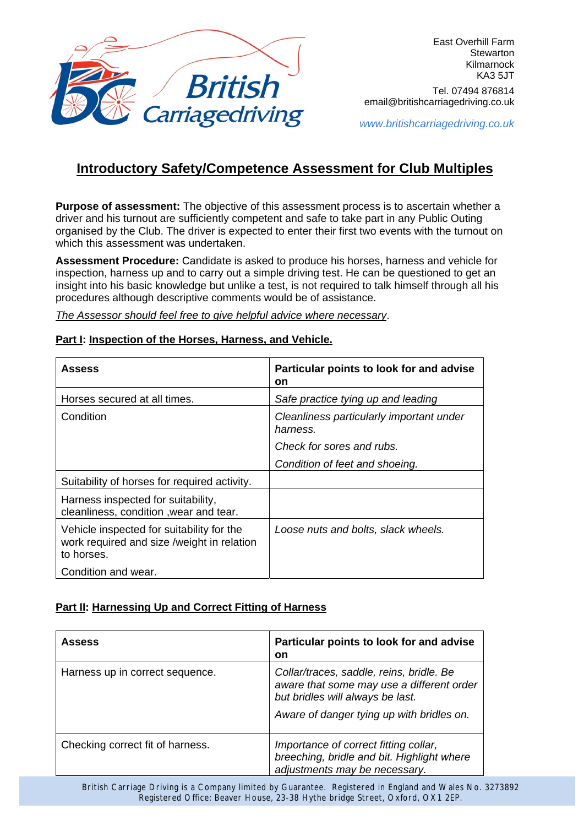

*www.britishcarriagedriving.co.uk*

## **Introductory Safety/Competence Assessment for Club Multiples**

**Purpose of assessment:** The objective of this assessment process is to ascertain whether a driver and his turnout are sufficiently competent and safe to take part in any Public Outing organised by the Club. The driver is expected to enter their first two events with the turnout on which this assessment was undertaken.

**Assessment Procedure:** Candidate is asked to produce his horses, harness and vehicle for inspection, harness up and to carry out a simple driving test. He can be questioned to get an insight into his basic knowledge but unlike a test, is not required to talk himself through all his procedures although descriptive comments would be of assistance.

*The Assessor should feel free to give helpful advice where necessary*.

### **Part I: Inspection of the Horses, Harness, and Vehicle.**

| <b>Assess</b>                                                                                         | Particular points to look for and advise<br>on       |
|-------------------------------------------------------------------------------------------------------|------------------------------------------------------|
| Horses secured at all times.                                                                          | Safe practice tying up and leading                   |
| Condition                                                                                             | Cleanliness particularly important under<br>harness. |
|                                                                                                       | Check for sores and rubs.                            |
|                                                                                                       | Condition of feet and shoeing.                       |
| Suitability of horses for required activity.                                                          |                                                      |
| Harness inspected for suitability,<br>cleanliness, condition, wear and tear.                          |                                                      |
| Vehicle inspected for suitability for the<br>work required and size /weight in relation<br>to horses. | Loose nuts and bolts, slack wheels.                  |
| Condition and wear.                                                                                   |                                                      |

## **Part II: Harnessing Up and Correct Fitting of Harness**

| <b>Assess</b>                    | Particular points to look for and advise<br><b>on</b>                                                                                                                  |
|----------------------------------|------------------------------------------------------------------------------------------------------------------------------------------------------------------------|
| Harness up in correct sequence.  | Collar/traces, saddle, reins, bridle. Be<br>aware that some may use a different order<br>but bridles will always be last.<br>Aware of danger tying up with bridles on. |
| Checking correct fit of harness. | Importance of correct fitting collar,<br>breeching, bridle and bit. Highlight where<br>adjustments may be necessary.                                                   |

British Carriage Driving is a Company limited by Guarantee. Registered in England and Wales No. 3273892 Registered Office: Beaver House, 23-38 Hythe bridge Street, Oxford, OX1 2EP.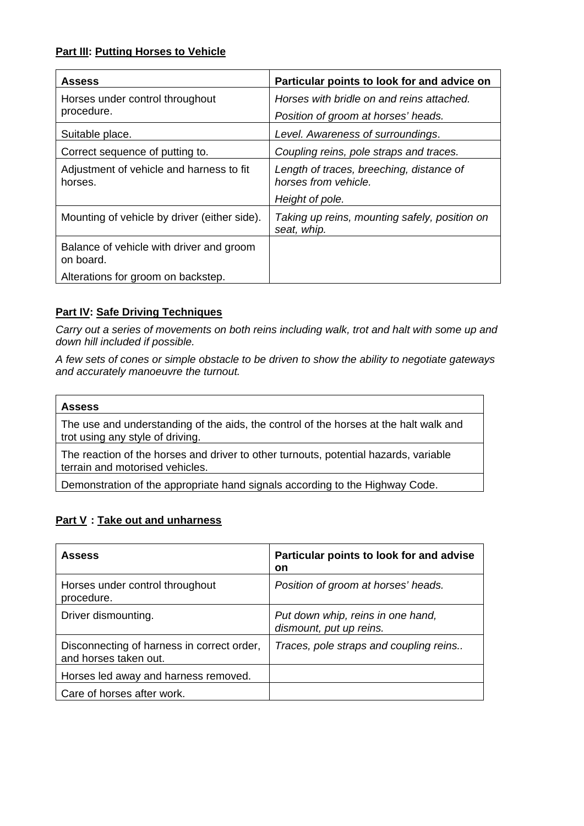## **Part III: Putting Horses to Vehicle**

| <b>Assess</b>                                         | Particular points to look for and advice on                      |
|-------------------------------------------------------|------------------------------------------------------------------|
| Horses under control throughout                       | Horses with bridle on and reins attached.                        |
| procedure.                                            | Position of groom at horses' heads.                              |
| Suitable place.                                       | Level. Awareness of surroundings.                                |
| Correct sequence of putting to.                       | Coupling reins, pole straps and traces.                          |
| Adjustment of vehicle and harness to fit<br>horses.   | Length of traces, breeching, distance of<br>horses from vehicle. |
|                                                       | Height of pole.                                                  |
| Mounting of vehicle by driver (either side).          | Taking up reins, mounting safely, position on<br>seat, whip.     |
| Balance of vehicle with driver and groom<br>on board. |                                                                  |
| Alterations for groom on backstep.                    |                                                                  |

## **Part IV: Safe Driving Techniques**

*Carry out a series of movements on both reins including walk, trot and halt with some up and down hill included if possible.* 

*A few sets of cones or simple obstacle to be driven to show the ability to negotiate gateways and accurately manoeuvre the turnout.* 

#### **Assess**

The use and understanding of the aids, the control of the horses at the halt walk and trot using any style of driving.

The reaction of the horses and driver to other turnouts, potential hazards, variable terrain and motorised vehicles.

Demonstration of the appropriate hand signals according to the Highway Code.

## **Part V : Take out and unharness**

| <b>Assess</b>                                                       | Particular points to look for and advise<br>on               |
|---------------------------------------------------------------------|--------------------------------------------------------------|
| Horses under control throughout<br>procedure.                       | Position of groom at horses' heads.                          |
| Driver dismounting.                                                 | Put down whip, reins in one hand,<br>dismount, put up reins. |
| Disconnecting of harness in correct order,<br>and horses taken out. | Traces, pole straps and coupling reins                       |
| Horses led away and harness removed.                                |                                                              |
| Care of horses after work.                                          |                                                              |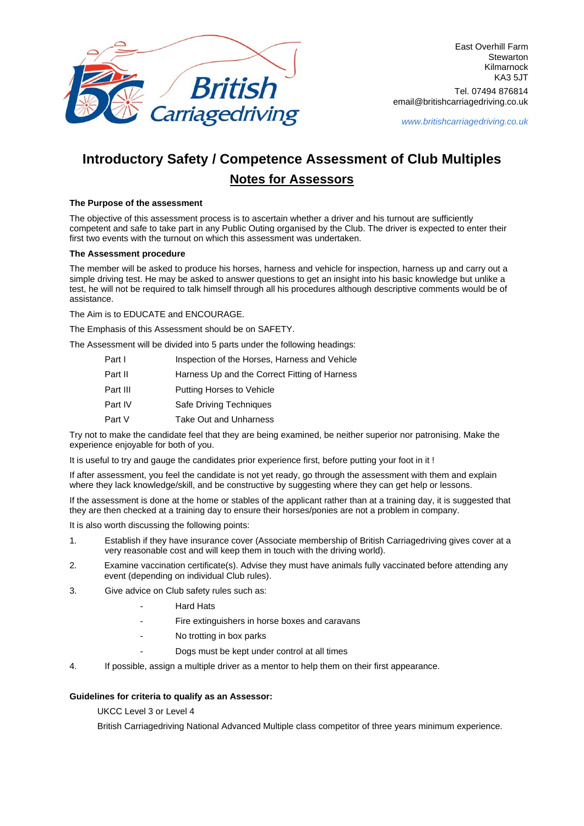

East Overhill Farm **Stewarton** Kilmarnock KA3 5JT Tel. 07494 876814 email@britishcarriagedriving.co.uk

*www.britishcarriagedriving.co.uk*

# **Introductory Safety / Competence Assessment of Club Multiples Notes for Assessors**

#### **The Purpose of the assessment**

The objective of this assessment process is to ascertain whether a driver and his turnout are sufficiently competent and safe to take part in any Public Outing organised by the Club. The driver is expected to enter their first two events with the turnout on which this assessment was undertaken.

#### **The Assessment procedure**

The member will be asked to produce his horses, harness and vehicle for inspection, harness up and carry out a simple driving test. He may be asked to answer questions to get an insight into his basic knowledge but unlike a test, he will not be required to talk himself through all his procedures although descriptive comments would be of assistance.

The Aim is to EDUCATE and ENCOURAGE.

The Emphasis of this Assessment should be on SAFETY.

The Assessment will be divided into 5 parts under the following headings:

| Part I   | Inspection of the Horses, Harness and Vehicle |
|----------|-----------------------------------------------|
| Part II  | Harness Up and the Correct Fitting of Harness |
| Part III | Putting Horses to Vehicle                     |
| Part IV  | Safe Driving Techniques                       |
| Part V   | Take Out and Unharness                        |

Try not to make the candidate feel that they are being examined, be neither superior nor patronising. Make the experience enjoyable for both of you.

It is useful to try and gauge the candidates prior experience first, before putting your foot in it !

If after assessment, you feel the candidate is not yet ready, go through the assessment with them and explain where they lack knowledge/skill, and be constructive by suggesting where they can get help or lessons.

If the assessment is done at the home or stables of the applicant rather than at a training day, it is suggested that they are then checked at a training day to ensure their horses/ponies are not a problem in company.

It is also worth discussing the following points:

- 1. Establish if they have insurance cover (Associate membership of British Carriagedriving gives cover at a very reasonable cost and will keep them in touch with the driving world).
- 2. Examine vaccination certificate(s). Advise they must have animals fully vaccinated before attending any event (depending on individual Club rules).
- 3. Give advice on Club safety rules such as:
	- **Hard Hats**
	- Fire extinguishers in horse boxes and caravans
	- No trotting in box parks
		- Dogs must be kept under control at all times
- 4. If possible, assign a multiple driver as a mentor to help them on their first appearance.

#### **Guidelines for criteria to qualify as an Assessor:**

UKCC Level 3 or Level 4

British Carriagedriving National Advanced Multiple class competitor of three years minimum experience.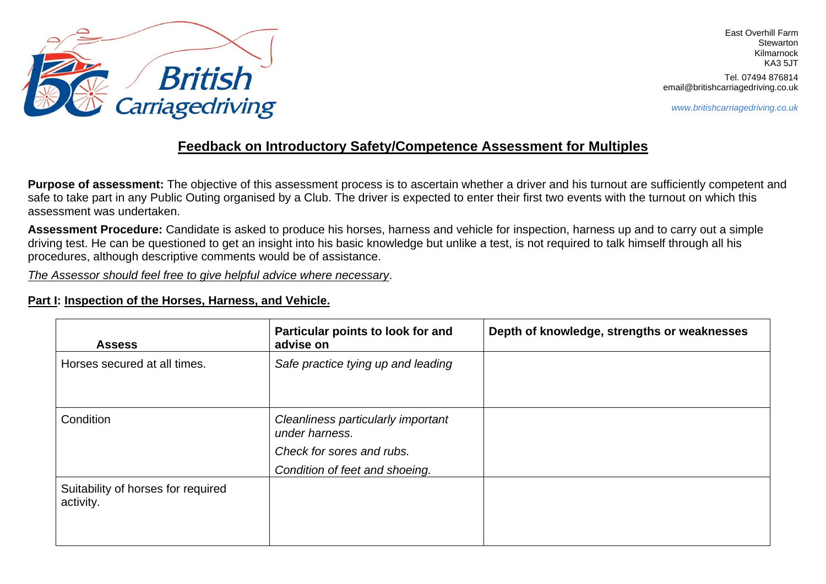

*www.britishcarriagedriving.co.uk*

## **Feedback on Introductory Safety/Competence Assessment for Multiples**

Purpose of assessment: The objective of this assessment process is to ascertain whether a driver and his turnout are sufficiently competent and safe to take part in any Public Outing organised by a Club. The driver is expected to enter their first two events with the turnout on which this assessment was undertaken.

**Assessment Procedure:** Candidate is asked to produce his horses, harness and vehicle for inspection, harness up and to carry out a simple driving test. He can be questioned to get an insight into his basic knowledge but unlike a test, is not required to talk himself through all his procedures, although descriptive comments would be of assistance.

*The Assessor should feel free to give helpful advice where necessary*.

## **Part I: Inspection of the Horses, Harness, and Vehicle.**

| <b>Assess</b>                                   | Particular points to look for and<br>advise on                                                                      | Depth of knowledge, strengths or weaknesses |
|-------------------------------------------------|---------------------------------------------------------------------------------------------------------------------|---------------------------------------------|
| Horses secured at all times.                    | Safe practice tying up and leading                                                                                  |                                             |
| Condition                                       | Cleanliness particularly important<br>under harness.<br>Check for sores and rubs.<br>Condition of feet and shoeing. |                                             |
| Suitability of horses for required<br>activity. |                                                                                                                     |                                             |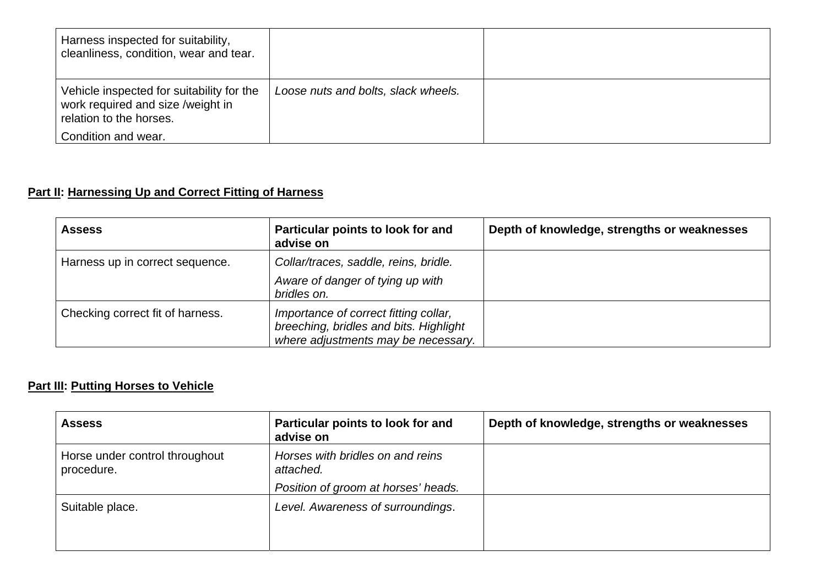| Harness inspected for suitability,<br>cleanliness, condition, wear and tear.                              |                                     |  |
|-----------------------------------------------------------------------------------------------------------|-------------------------------------|--|
| Vehicle inspected for suitability for the<br>work required and size /weight in<br>relation to the horses. | Loose nuts and bolts, slack wheels. |  |
| Condition and wear.                                                                                       |                                     |  |

## **Part II: Harnessing Up and Correct Fitting of Harness**

| <b>Assess</b>                    | Particular points to look for and<br>advise on                                                                         | Depth of knowledge, strengths or weaknesses |
|----------------------------------|------------------------------------------------------------------------------------------------------------------------|---------------------------------------------|
| Harness up in correct sequence.  | Collar/traces, saddle, reins, bridle.<br>Aware of danger of tying up with<br>bridles on.                               |                                             |
| Checking correct fit of harness. | Importance of correct fitting collar,<br>breeching, bridles and bits. Highlight<br>where adjustments may be necessary. |                                             |

## **Part III: Putting Horses to Vehicle**

| <b>Assess</b>                                | Particular points to look for and<br>advise on | Depth of knowledge, strengths or weaknesses |
|----------------------------------------------|------------------------------------------------|---------------------------------------------|
| Horse under control throughout<br>procedure. | Horses with bridles on and reins<br>attached.  |                                             |
|                                              | Position of groom at horses' heads.            |                                             |
| Suitable place.                              | Level. Awareness of surroundings.              |                                             |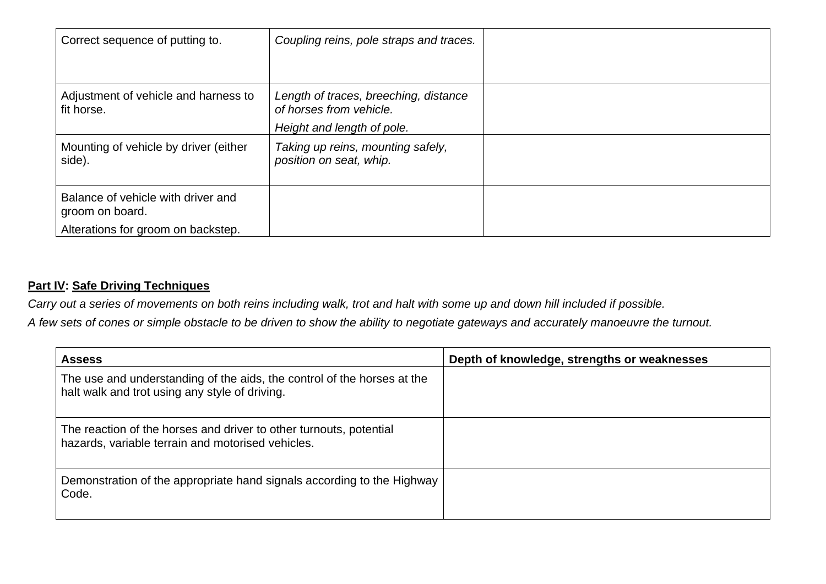| Correct sequence of putting to.                                                             | Coupling reins, pole straps and traces.                                                        |  |
|---------------------------------------------------------------------------------------------|------------------------------------------------------------------------------------------------|--|
| Adjustment of vehicle and harness to<br>fit horse.                                          | Length of traces, breeching, distance<br>of horses from vehicle.<br>Height and length of pole. |  |
| Mounting of vehicle by driver (either<br>side).                                             | Taking up reins, mounting safely,<br>position on seat, whip.                                   |  |
| Balance of vehicle with driver and<br>groom on board.<br>Alterations for groom on backstep. |                                                                                                |  |

## **Part IV: Safe Driving Techniques**

*Carry out a series of movements on both reins including walk, trot and halt with some up and down hill included if possible.* 

*A few sets of cones or simple obstacle to be driven to show the ability to negotiate gateways and accurately manoeuvre the turnout.* 

| <b>Assess</b>                                                                                                             | Depth of knowledge, strengths or weaknesses |
|---------------------------------------------------------------------------------------------------------------------------|---------------------------------------------|
| The use and understanding of the aids, the control of the horses at the<br>halt walk and trot using any style of driving. |                                             |
| The reaction of the horses and driver to other turnouts, potential<br>hazards, variable terrain and motorised vehicles.   |                                             |
| Demonstration of the appropriate hand signals according to the Highway<br>Code.                                           |                                             |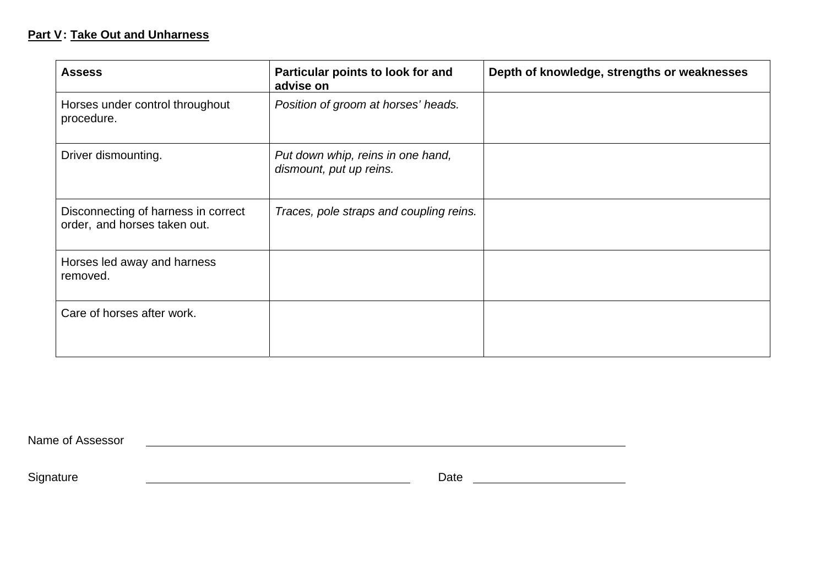### **Part V : Take Out and Unharness**

| <b>Assess</b>                                                       | Particular points to look for and<br>advise on               | Depth of knowledge, strengths or weaknesses |
|---------------------------------------------------------------------|--------------------------------------------------------------|---------------------------------------------|
| Horses under control throughout<br>procedure.                       | Position of groom at horses' heads.                          |                                             |
| Driver dismounting.                                                 | Put down whip, reins in one hand,<br>dismount, put up reins. |                                             |
| Disconnecting of harness in correct<br>order, and horses taken out. | Traces, pole straps and coupling reins.                      |                                             |
| Horses led away and harness<br>removed.                             |                                                              |                                             |
| Care of horses after work.                                          |                                                              |                                             |

Name of Assessor

Signature **Construction Construction Construction** Date **Date Date**